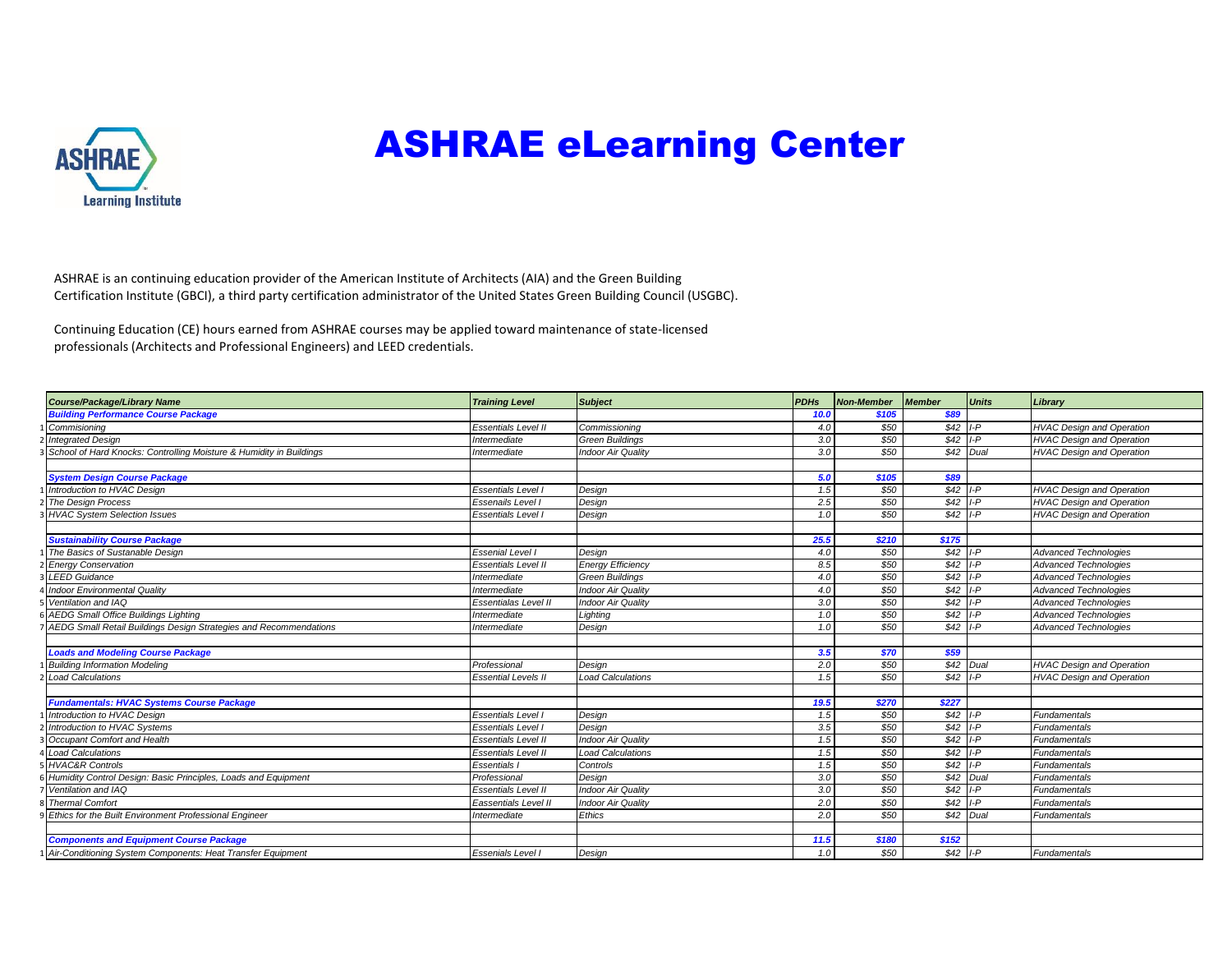

## ASHRAE eLearning Center

ASHRAE is an continuing education provider of the American Institute of Architects (AIA) and the Green Building Certification Institute (GBCI), a third party certification administrator of the United States Green Building Council (USGBC).

Continuing Education (CE) hours earned from ASHRAE courses may be applied toward maintenance of state-licensed professionals (Architects and Professional Engineers) and LEED credentials.

| <b>Course/Package/Library Name</b>                                  | <b>Training Level</b>      | <b>Subject</b>            | <b>PDHs</b> | Non-Member | <b>Member</b> | <b>Units</b> | Library                          |
|---------------------------------------------------------------------|----------------------------|---------------------------|-------------|------------|---------------|--------------|----------------------------------|
| <b>Building Performance Course Package</b>                          |                            |                           | 10.0        | \$105      | \$89          |              |                                  |
| Commisioning                                                        | <b>Essentials Level II</b> | Commissioning             | 4.0         | \$50       | $$42$ I-P     |              | <b>HVAC Design and Operation</b> |
| <b>Integrated Design</b>                                            | Intermediate               | <b>Green Buildings</b>    | 3.0         | \$50       | \$42          | $I-P$        | <b>HVAC Design and Operation</b> |
| School of Hard Knocks: Controlling Moisture & Humidity in Buildings | Intermediate               | <b>Indoor Air Quality</b> | 3.0         | \$50       |               | \$42 Dual    | <b>HVAC Design and Operation</b> |
|                                                                     |                            |                           |             |            |               |              |                                  |
| <b>System Design Course Package</b>                                 |                            |                           | 5.0         | \$105      | \$89          |              |                                  |
| Introduction to HVAC Design                                         | <b>Essentials Level I</b>  | Design                    | 1.5         | \$50       | $$42$ I-P     |              | <b>HVAC Design and Operation</b> |
| The Design Process                                                  | Essenails Level I          | Design                    | 2.5         | \$50       | $$42$ I-P     |              | <b>HVAC Design and Operation</b> |
| <b>HVAC System Selection Issues</b>                                 | <b>Essentials Level I</b>  | Design                    | 1.0         | \$50       | $$42$ I-P     |              | <b>HVAC Design and Operation</b> |
|                                                                     |                            |                           |             |            |               |              |                                  |
| <b>Sustainability Course Package</b>                                |                            |                           | 25.5        | \$210      | \$175         |              |                                  |
| The Basics of Sustanable Design                                     | <b>Essenial Level I</b>    | Desian                    | 4.0         | \$50       | $$42$ I-P     |              | <b>Advanced Technologies</b>     |
| <b>Energy Conservation</b>                                          | Essentials Level II        | <b>Energy Efficiency</b>  | 8.5         | \$50       | \$42          | $I - P$      | <b>Advanced Technologies</b>     |
| <b>LEED Guidance</b>                                                | Intermediate               | <b>Green Buildings</b>    | 4.0         | \$50       | \$42          | $I-P$        | <b>Advanced Technologies</b>     |
| <b>Indoor Environmental Quality</b>                                 | Intermediate               | <b>Indoor Air Quality</b> | 4.0         | \$50       | \$42          | $I - P$      | <b>Advanced Technologies</b>     |
| Ventilation and IAQ                                                 | Essentialas Level II       | <b>Indoor Air Quality</b> | 3.0         | \$50       | \$42          | $I-P$        | <b>Advanced Technologies</b>     |
| <b>AEDG Small Office Buildings Lighting</b>                         | Intermediate               | Lighting                  | 1.0         | \$50       | $$42$ I-P     |              | <b>Advanced Technologies</b>     |
| AEDG Small Retail Buildings Design Strategies and Recommendations   | Intermediate               | Design                    | 1.0         | \$50       | $$42$ I-P     |              | <b>Advanced Technologies</b>     |
|                                                                     |                            |                           |             |            |               |              |                                  |
| <b>Loads and Modeling Course Package</b>                            |                            |                           | 3.5         | \$70       | \$59          |              |                                  |
| <b>Building Information Modeling</b>                                | Professional               | Desian                    | 2.0         | \$50       |               | \$42 Dual    | <b>HVAC Design and Operation</b> |
| <b>Load Calculations</b>                                            | <b>Essential Levels II</b> | <b>Load Calculations</b>  | 1.5         | \$50       | \$42          | $I-P$        | <b>HVAC</b> Design and Operation |
|                                                                     |                            |                           |             |            |               |              |                                  |
| <b>Fundamentals: HVAC Systems Course Package</b>                    |                            |                           | 19.5        | \$270      | \$227         |              |                                  |
| Introduction to HVAC Design                                         | Essentials Level I         | Design                    | 1.5         | \$50       | $$42$ I-P     |              | <b>Fundamentals</b>              |
| Introduction to HVAC Systems                                        | Essentials Level I         | Design                    | 3.5         | \$50       | \$42          | $I - P$      | <b>Fundamentals</b>              |
| Occupant Comfort and Health                                         | Essentials Level II        | <b>Indoor Air Quality</b> | 1.5         | \$50       | \$42          | $I-P$        | <b>Fundamentals</b>              |
| <b>Load Calculations</b>                                            | Essentials Level II        | <b>Load Calculations</b>  | 1.5         | \$50       | $$42$ I-P     |              | <b>Fundamentals</b>              |
| <b>HVAC&amp;R Controls</b>                                          | Essentials I               | Controls                  | 1.5         | \$50       | \$42          | $I - P$      | Fundamentals                     |
| Humidity Control Design: Basic Principles, Loads and Equipment      | Professional               | Design                    | 3.0         | \$50       | \$42          | Dual         | Fundamentals                     |
| Ventilation and IAQ                                                 | Essentials Level II        | <b>Indoor Air Quality</b> | 3.0         | \$50       | \$42          | I-P          | Fundamentals                     |
| <b>Thermal Comfort</b>                                              | Eassentials Level II       | <b>Indoor Air Quality</b> | 2.0         | \$50       | \$42          | I-P          | <b>Fundamentals</b>              |
| Ethics for the Built Environment Professional Engineer              | Intermediate               | Ethics                    | 2.0         | \$50       | \$42          | Dual         | <b>Fundamentals</b>              |
|                                                                     |                            |                           |             |            |               |              |                                  |
| <b>Components and Equipment Course Package</b>                      |                            |                           | 11.5        | \$180      | \$152         |              |                                  |
| Air-Conditioning System Components: Heat Transfer Equipment         | Essenials Level I          | Design                    | 1.0         | \$50       | $$42$ I-P     |              | <b>Fundamentals</b>              |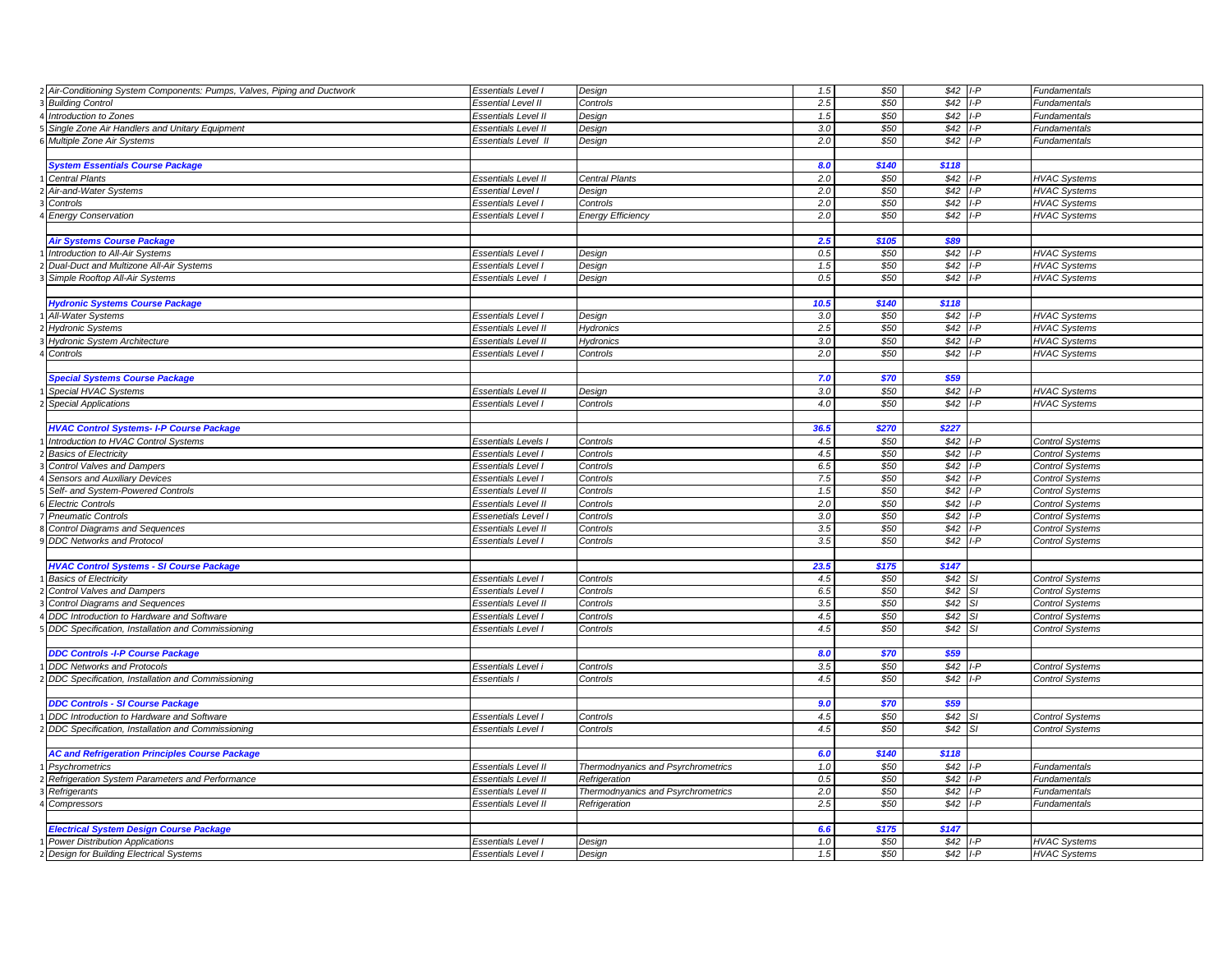| Air-Conditioning System Components: Pumps, Valves, Piping and Ductwork | <b>Essentials Level I</b>  | Design                             | 1.5  | \$50  | $$42$ I-P |               | Fundamentals           |
|------------------------------------------------------------------------|----------------------------|------------------------------------|------|-------|-----------|---------------|------------------------|
| <b>Building Control</b>                                                | <b>Essential Level II</b>  | Controls                           | 2.5  | \$50  | \$42      | $I - P$       | Fundamentals           |
| Introduction to Zones                                                  | Essentials Level II        | Design                             | 1.5  | \$50  | \$42      | $I - P$       | Fundamentals           |
| Single Zone Air Handlers and Unitary Equipment                         | Essentials Level II        | Design                             | 3.0  | \$50  | \$42      | I-P           | Fundamentals           |
| Multiple Zone Air Systems                                              | Essentials Level II        | Design                             | 2.0  | \$50  | \$42      | I-P           | <b>Fundamentals</b>    |
|                                                                        |                            |                                    |      |       |           |               |                        |
| <b>System Essentials Course Package</b>                                |                            |                                    | 8.0  | \$140 | \$118     |               |                        |
| <b>Central Plants</b>                                                  | Essentials Level II        | Central Plants                     | 2.0  | \$50  | \$42      | I-P           | <b>HVAC Systems</b>    |
| Air-and-Water Systems                                                  | <b>Essential Level I</b>   | Design                             | 2.0  | \$50  | \$42      | $I - P$       | <b>HVAC Systems</b>    |
| Controls                                                               | Essentials Level I         | Controls                           | 2.0  | \$50  | \$42      | $I - P$       | <b>HVAC Systems</b>    |
| <b>Energy Conservation</b>                                             | <b>Essentials Level I</b>  | <b>Energy Efficiency</b>           | 2.0  | \$50  | \$42      | LP            | <b>HVAC Systems</b>    |
|                                                                        |                            |                                    |      |       |           |               |                        |
| <b>Air Systems Course Package</b>                                      |                            |                                    | 2.5  | \$105 | \$89      |               |                        |
| Introduction to All-Air Systems                                        | Essentials Level I         | Design                             | 0.5  | \$50  | \$42      | $I - P$       | <b>HVAC Systems</b>    |
| Dual-Duct and Multizone All-Air Systems                                | Essentials Level I         | Design                             | 1.5  | \$50  | \$42      | $I - P$       | <b>HVAC Systems</b>    |
| Simple Rooftop All-Air Systems                                         | Essentials Level           | Design                             | 0.5  | \$50  | \$42      | LP            | <b>HVAC Systems</b>    |
|                                                                        |                            |                                    |      |       |           |               |                        |
| <b>Hydronic Systems Course Package</b>                                 |                            |                                    | 10.5 | \$140 | \$118     |               |                        |
| All-Water Systems                                                      | Essentials Level I         | Design                             | 3.0  | \$50  | \$42      | $I - P$       | <b>HVAC Systems</b>    |
| <b>Hydronic Systems</b>                                                | Essentials Level II        | Hydronics                          | 2.5  | \$50  | \$42      | $I - P$       | <b>HVAC Systems</b>    |
| <b>Hydronic System Architecture</b>                                    | Essentials Level II        | Hydronics                          | 3.0  | \$50  | \$42      | ۱-P           | <b>HVAC Systems</b>    |
| Controls                                                               | Essentials Level I         | Controls                           | 2.0  | \$50  | \$42      | LP            | <b>HVAC Systems</b>    |
|                                                                        |                            |                                    |      |       |           |               |                        |
| <b>Special Systems Course Package</b>                                  |                            |                                    | 7.0  | \$70  | \$59      |               |                        |
| Special HVAC Systems                                                   | Essentials Level II        | Design                             | 3.0  | \$50  | \$42      | $I - P$       | <b>HVAC Systems</b>    |
| <b>Special Applications</b>                                            | Essentials Level           | Controls                           | 4.0  | \$50  | \$42      | I-P           | <b>HVAC Systems</b>    |
|                                                                        |                            |                                    |      |       |           |               |                        |
| <b>HVAC Control Systems-I-P Course Package</b>                         |                            |                                    | 36.5 | \$270 | \$227     |               |                        |
| Introduction to HVAC Control Systems                                   | <b>Essentials Levels</b>   | Controls                           | 4.5  | \$50  | \$42      | $I - P$       | <b>Control Systems</b> |
| <b>Basics of Electricity</b>                                           | Essentials Level I         | Controls                           | 4.5  | \$50  | \$42      | LD            | <b>Control Systems</b> |
| <b>Control Valves and Dampers</b>                                      | Essentials Level           | Controls                           | 6.5  | \$50  | \$42      | I-P           | <b>Control Systems</b> |
| Sensors and Auxiliary Devices                                          | Essentials Level I         | Controls                           | 7.5  | \$50  | \$42      | LP            | <b>Control Systems</b> |
| Self- and System-Powered Controls                                      | Essentials Level II        | Controls                           | 1.5  | \$50  | \$42      | -P            | <b>Control Systems</b> |
| <b>Electric Controls</b>                                               | <b>Essentials Level II</b> | Controls                           | 2.0  | \$50  | \$42      | $I - P$       | <b>Control Systems</b> |
| <b>Pneumatic Controls</b>                                              | Essenetials Level I        | Controls                           | 3.0  | \$50  | \$42      | $I - P$       | <b>Control Systems</b> |
| <b>Control Diagrams and Sequences</b>                                  | <b>Essentials Level II</b> | Controls                           | 3.5  | \$50  | \$42      |               | <b>Control Systems</b> |
| <b>DDC Networks and Protocol</b>                                       | Essentials Level I         | Controls                           | 3.5  | \$50  | \$42      |               | <b>Control Systems</b> |
|                                                                        |                            |                                    |      |       |           |               |                        |
| <b>HVAC Control Systems - SI Course Package</b>                        |                            |                                    | 23.5 | \$175 | \$147     |               |                        |
| <b>Basics of Electricity</b>                                           | <b>Essentials Level I</b>  | Controls                           | 4.5  | \$50  | \$42      |               | <b>Control Systems</b> |
| Control Valves and Dampers                                             | Essentials Level I         | Controls                           | 6.5  | \$50  | \$42      |               | <b>Control Systems</b> |
| <b>Control Diagrams and Sequences</b>                                  | Essentials Level II        | Controls                           | 3.5  | \$50  | \$42      | S.            | <b>Control Systems</b> |
| DDC Introduction to Hardware and Software                              | Essentials Level I         | Controls                           | 4.5  | \$50  | \$42      |               | <b>Control Systems</b> |
| DDC Specification, Installation and Commissioning                      | Essentials Level I         | Controls                           | 4.5  | \$50  | \$42      | SI.           | <b>Control Systems</b> |
|                                                                        |                            |                                    |      |       |           |               |                        |
| <b>DDC Controls -I-P Course Package</b>                                |                            |                                    | 8.0  | \$70  | \$59      |               |                        |
| <b>DDC Networks and Protocols</b>                                      | Essentials Level i         | Controls                           | 3.5  | \$50  | \$42      |               | <b>Control Systems</b> |
| DDC Specification, Installation and Commissioning                      | <b>Essentials I</b>        | Controls                           | 4.5  | \$50  | \$42      | $I - P$       | <b>Control Systems</b> |
|                                                                        |                            |                                    |      |       |           |               |                        |
| <b>DDC Controls - SI Course Package</b>                                |                            |                                    | 9.0  | \$70  | \$59      |               |                        |
| DDC Introduction to Hardware and Software                              | Essentials Level I         | Controls                           | 4.5  | \$50  | \$42      |               | <b>Control Systems</b> |
| DDC Specification, Installation and Commissioning                      | Essentials Level I         | Controls                           | 4.5  | \$50  | \$42      | <sub>SI</sub> | <b>Control Systems</b> |
|                                                                        |                            |                                    |      |       |           |               |                        |
| <b>AC and Refrigeration Principles Course Package</b>                  |                            |                                    | 6.0  | \$140 | \$118     |               |                        |
| Psychrometrics                                                         | <b>Essentials Level II</b> | Thermodnyanics and Psyrchrometrics | 1.0  | \$50  | \$42      |               | Fundamentals           |
| Refrigeration System Parameters and Performance                        | <b>Essentials Level II</b> | Refrigeration                      | 0.5  | \$50  | \$42      | $I - P$       | Fundamentals           |
| Refrigerants                                                           | Essentials Level II        | Thermodnyanics and Psyrchrometrics | 2.0  | \$50  | \$42      | $I - P$       | <b>Fundamentals</b>    |
| Compressors                                                            | <b>Essentials Level II</b> | Refrigeration                      | 2.5  | \$50  | \$42      | $I-P$         | Fundamentals           |
|                                                                        |                            |                                    |      |       |           |               |                        |
| <b>Electrical System Design Course Package</b>                         |                            |                                    | 6.6  | \$175 | \$147     |               |                        |
| <b>Power Distribution Applications</b>                                 | <b>Essentials Level I</b>  | Design                             | 1.0  | \$50  | \$42      | $I - P$       | <b>HVAC Systems</b>    |
| Design for Building Electrical Systems                                 | <b>Essentials Level I</b>  | Design                             | 1.5  | \$50  | $$42$ I-P |               | <b>HVAC Systems</b>    |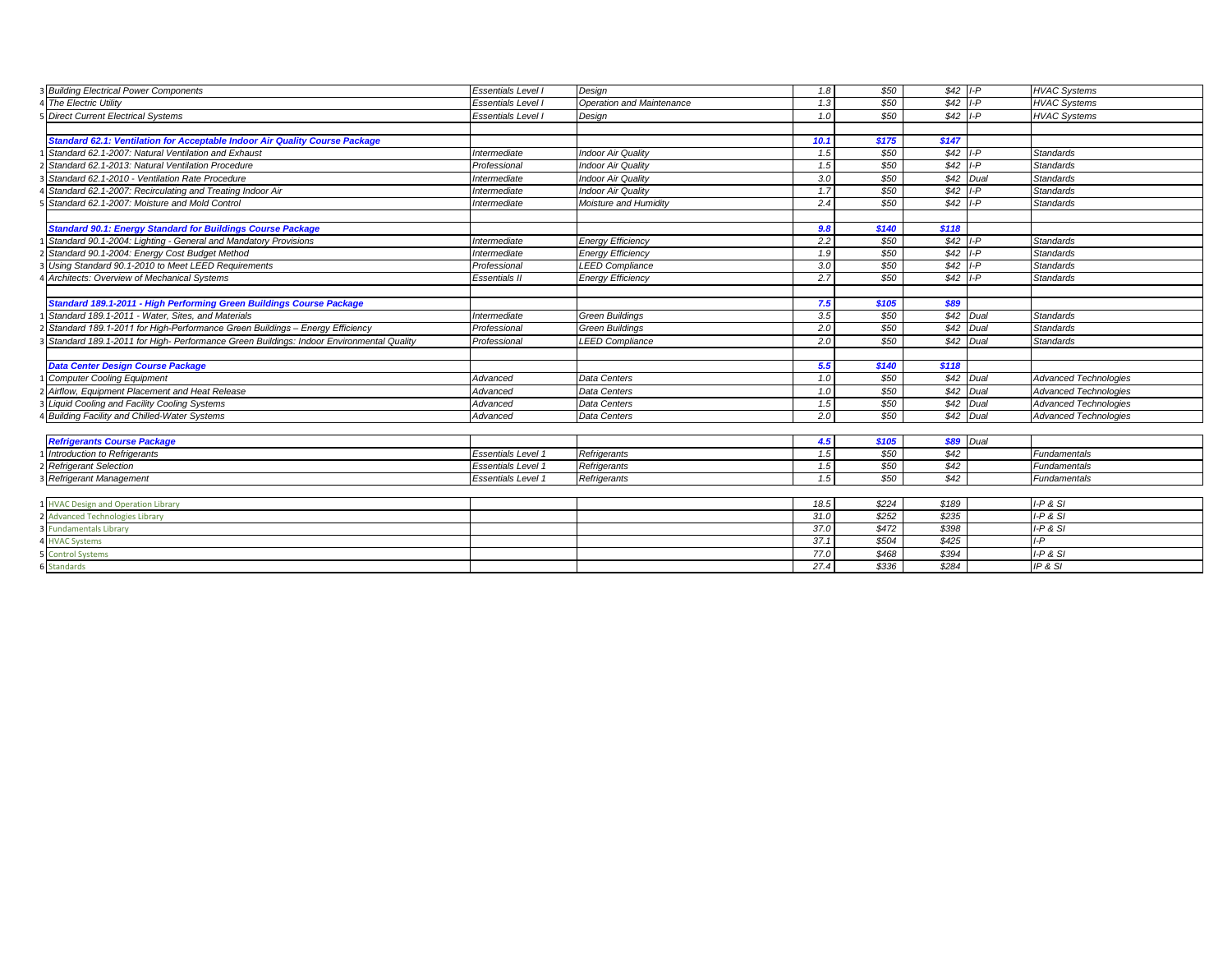| 3 Building Electrical Power Components<br>Essentials Level I                                           | 1.8<br>Design                    | \$50           | $$42$ I-P      |                  | <b>HVAC Systems</b>          |
|--------------------------------------------------------------------------------------------------------|----------------------------------|----------------|----------------|------------------|------------------------------|
| 4 The Electric Utility<br>Essentials Level I                                                           | 1.3<br>Operation and Maintenance | \$50           | $$42$ I-P      |                  | <b>HVAC Systems</b>          |
| 5 Direct Current Electrical Systems<br>Essentials Level I                                              | 1.0<br>Design                    | \$50           | $$42$ I-P      |                  | <b>HVAC Systems</b>          |
|                                                                                                        |                                  |                |                |                  |                              |
| Standard 62.1: Ventilation for Acceptable Indoor Air Quality Course Package                            | 10.1                             | \$175          | \$147          |                  |                              |
| Standard 62.1-2007: Natural Ventilation and Exhaust<br>Intermediate                                    | <b>Indoor Air Quality</b><br>1.5 | \$50           | $$42$ I-P      |                  | <b>Standards</b>             |
| Standard 62.1-2013: Natural Ventilation Procedure<br>Professional                                      | 1.5<br><b>Indoor Air Quality</b> | \$50           | $$42$ I-P      |                  | <b>Standards</b>             |
| Standard 62.1-2010 - Ventilation Rate Procedure<br>Intermediate                                        | 3.0<br><b>Indoor Air Quality</b> | \$50           |                | $$42$ Dual       | <b>Standards</b>             |
| Standard 62.1-2007: Recirculating and Treating Indoor Air<br>Intermediate                              | 1.7<br><b>Indoor Air Quality</b> | \$50           | \$42           | $I - P$          | <b>Standards</b>             |
| Standard 62.1-2007: Moisture and Mold Control<br>Intermediate                                          | 2.4<br>Moisture and Humidity     | \$50           | $$42$ I-P      |                  | <b>Standards</b>             |
|                                                                                                        |                                  |                |                |                  |                              |
| <b>Standard 90.1: Energy Standard for Buildings Course Package</b>                                     | 9.8                              | \$140          | \$118          |                  |                              |
| Standard 90.1-2004: Lighting - General and Mandatory Provisions<br>Intermediate                        | 2.2<br><b>Energy Efficiency</b>  | \$50           | $$42$ I-P      |                  | <b>Standards</b>             |
| Standard 90.1-2004: Energy Cost Budget Method<br>Intermediate                                          | <b>Energy Efficiency</b><br>1.9  | \$50           | $$42$ I-P      |                  | <b>Standards</b>             |
| Using Standard 90.1-2010 to Meet LEED Requirements<br>Professional                                     | 3.0<br><b>LEED Compliance</b>    | \$50           | $$42$ I-P      |                  | <b>Standards</b>             |
| Architects: Overview of Mechanical Systems<br><b>Essentials II</b>                                     | 2.7<br><b>Energy Efficiency</b>  | \$50           | $$42$ I-P      |                  | <b>Standards</b>             |
|                                                                                                        |                                  |                |                |                  |                              |
| Standard 189.1-2011 - High Performing Green Buildings Course Package                                   | 7.5                              | \$105          | \$89           |                  |                              |
| Standard 189.1-2011 - Water, Sites, and Materials<br>Intermediate                                      | 3.5<br><b>Green Buildings</b>    | \$50           |                | \$42 Dual        | <b>Standards</b>             |
| Standard 189.1-2011 for High-Performance Green Buildings - Energy Efficiency<br>Professional           | 2.0<br><b>Green Buildings</b>    | \$50           | \$42           | Dual             | <b>Standards</b>             |
| Standard 189.1-2011 for High-Performance Green Buildings: Indoor Environmental Quality<br>Professional | 2.0<br><b>LEED Compliance</b>    | \$50           | $$42$ Dual     |                  | <b>Standards</b>             |
|                                                                                                        |                                  |                |                |                  |                              |
| Data Center Design Course Package                                                                      | 5.5                              | \$140          | \$118          |                  |                              |
| <b>Computer Cooling Equipment</b><br>Advanced                                                          | 1.0<br>Data Centers              | \$50           |                | $$42$ Dual       | <b>Advanced Technologies</b> |
| Airflow, Equipment Placement and Heat Release<br>Advanced                                              | Data Centers<br>$1.0$            | \$50           | \$42           | Dual             | <b>Advanced Technologies</b> |
| Liquid Cooling and Facility Cooling Systems<br>Advanced                                                | Data Centers<br>1.5              | \$50           |                | $$42$ Dual       | <b>Advanced Technologies</b> |
| <b>Building Facility and Chilled-Water Systems</b><br>Advanced                                         | 2.0<br>Data Centers              | \$50           |                | $$42$ Dual       | <b>Advanced Technologies</b> |
|                                                                                                        |                                  |                |                |                  |                              |
| <b>Refrigerants Course Package</b>                                                                     | 4.5                              | \$105          |                | <b>\$89</b> Dual |                              |
| Introduction to Refrigerants<br><b>Essentials Level 1</b>                                              | 1.5<br>Refrigerants              | \$50           | \$42           |                  | Fundamentals                 |
| <b>Refrigerant Selection</b><br><b>Essentials Level 1</b>                                              | 1.5<br>Refrigerants              | \$50           | \$42           |                  | Fundamentals                 |
| 3 Refrigerant Management<br><b>Essentials Level 1</b>                                                  | 1.5<br>Refrigerants              | \$50           | \$42           |                  | Fundamentals                 |
|                                                                                                        |                                  |                |                |                  |                              |
| 1 HVAC Design and Operation Library                                                                    | 18.5                             | \$224          | \$189          |                  | $I-P & S I$                  |
| 2 Advanced Technologies Library                                                                        | 31.0                             | \$252          | \$235          |                  | $I-P$ & $SI$                 |
| <b>Fundamentals Library</b>                                                                            | 37.0                             | \$472          | \$398          |                  | $I-P & S I$                  |
| <b>HVAC Systems</b>                                                                                    | 37.1                             | \$504          | \$425          |                  | $I-P$                        |
| <b>Control Systems</b>                                                                                 |                                  |                |                |                  |                              |
| <b>Standards</b>                                                                                       | 77.0<br>27.4                     | \$468<br>\$336 | \$394<br>\$284 |                  | $I-P & S I$<br>IP & S1       |